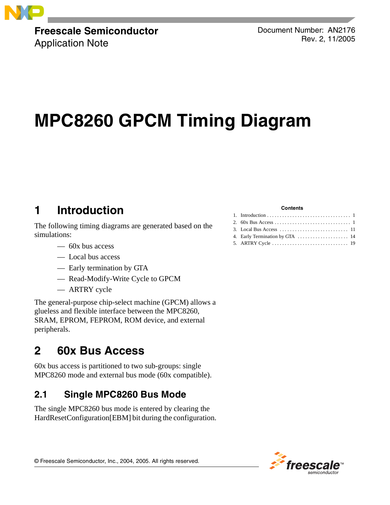

**Freescale Semiconductor** Application Note

Document Number: AN2176 Rev. 2, 11/2005

# **MPC8260 GPCM Timing Diagram**

## <span id="page-0-1"></span>**1 Introduction**

The following timing diagrams are generated based on the simulations:

- 60x bus access
- Local bus access
- Early termination by GTA
- Read-Modify-Write Cycle to GPCM
- ARTRY cycle

The general-purpose chip-select machine (GPCM) allows a glueless and flexible interface between the MPC8260, SRAM, EPROM, FEPROM, ROM device, and external peripherals.

## <span id="page-0-0"></span>**2 60x Bus Access**

60x bus access is partitioned to two sub-groups: single MPC8260 mode and external bus mode (60x compatible).

## **2.1 Single MPC8260 Bus Mode**

The single MPC8260 bus mode is entered by clearing the HardResetConfiguration[EBM] bit during the configuration.

### **Contents**

| 4. Early Termination by GTA  14 |  |
|---------------------------------|--|
|                                 |  |



© Freescale Semiconductor, Inc., 2004, 2005. All rights reserved.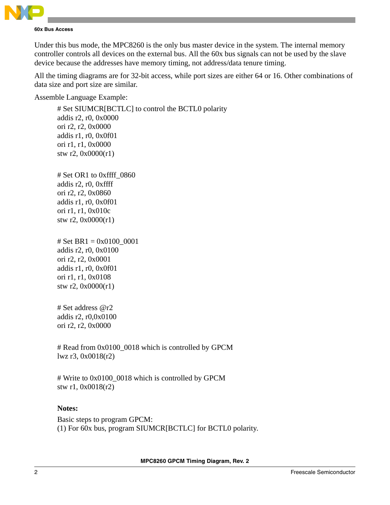

Under this bus mode, the MPC8260 is the only bus master device in the system. The internal memory controller controls all devices on the external bus. All the 60x bus signals can not be used by the slave device because the addresses have memory timing, not address/data tenure timing.

All the timing diagrams are for 32-bit access, while port sizes are either 64 or 16. Other combinations of data size and port size are similar.

Assemble Language Example:

# Set SIUMCR[BCTLC] to control the BCTL0 polarity addis r2, r0, 0x0000 ori r2, r2, 0x0000 addis r1, r0, 0x0f01 ori r1, r1, 0x0000 stw r2, 0x0000(r1)

# Set OR1 to 0xffff\_0860 addis r2, r0, 0xffff ori r2, r2, 0x0860 addis r1, r0, 0x0f01 ori r1, r1, 0x010c stw r2, 0x0000(r1)

# Set BR1 = 0x0100\_0001 addis r2, r0, 0x0100 ori r2, r2, 0x0001 addis r1, r0, 0x0f01 ori r1, r1, 0x0108 stw r2, 0x0000(r1)

# Set address @r2 addis r2, r0,0x0100 ori r2, r2, 0x0000

# Read from 0x0100\_0018 which is controlled by GPCM lwz r3, 0x0018(r2)

# Write to 0x0100\_0018 which is controlled by GPCM stw r1, 0x0018(r2)

### **Notes:**

Basic steps to program GPCM: (1) For 60x bus, program SIUMCR[BCTLC] for BCTL0 polarity.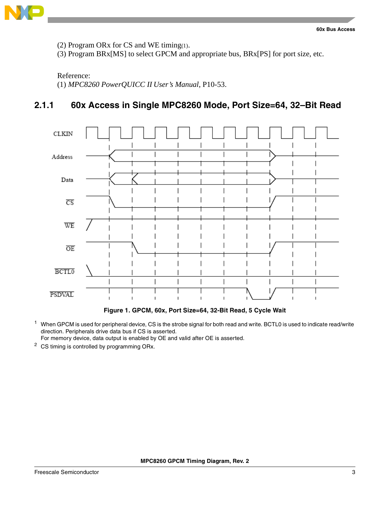

(2) Program ORx for CS and WE timing(1).

(3) Program BRx[MS] to select GPCM and appropriate bus, BRx[PS] for port size, etc.

Reference: (1) *MPC8260 PowerQUICC II User's Manual*, P10-53.

### **2.1.1 60x Access in Single MPC8260 Mode, Port Size=64, 32–Bit Read**



**Figure 1. GPCM, 60x, Port Size=64, 32-Bit Read, 5 Cycle Wait**

<sup>1</sup> When GPCM is used for peripheral device, CS is the strobe signal for both read and write. BCTL0 is used to indicate read/write direction. Peripherals drive data bus if CS is asserted.

For memory device, data output is enabled by OE and valid after OE is asserted.

<sup>2</sup> CS timing is controlled by programming ORx.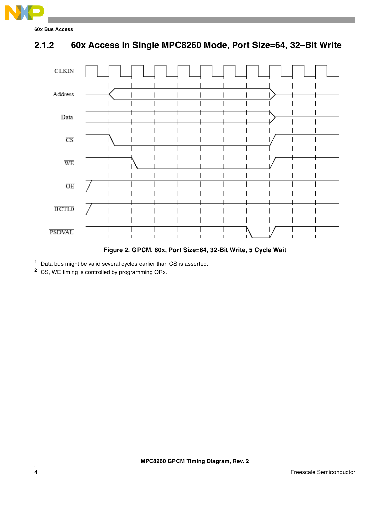



## **2.1.2 60x Access in Single MPC8260 Mode, Port Size=64, 32–Bit Write**

**Figure 2. GPCM, 60x, Port Size=64, 32-Bit Write, 5 Cycle Wait**

 $1$  Data bus might be valid several cycles earlier than CS is asserted.

<sup>2</sup> CS, WE timing is controlled by programming ORx.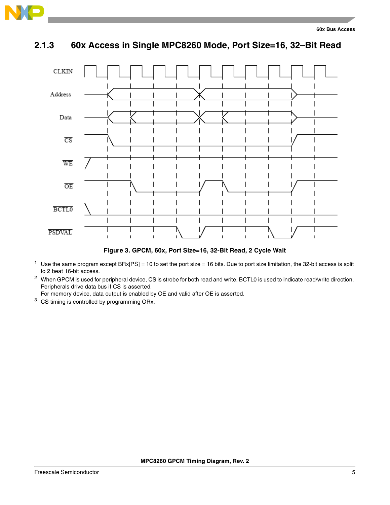

## **2.1.3 60x Access in Single MPC8260 Mode, Port Size=16, 32–Bit Read**



**Figure 3. GPCM, 60x, Port Size=16, 32-Bit Read, 2 Cycle Wait**

- <sup>1</sup> Use the same program except BRx[PS] = 10 to set the port size = 16 bits. Due to port size limitation, the 32-bit access is split to 2 beat 16-bit access.
- <sup>2</sup> When GPCM is used for peripheral device, CS is strobe for both read and write. BCTL0 is used to indicate read/write direction. Peripherals drive data bus if CS is asserted.
- For memory device, data output is enabled by OE and valid after OE is asserted.
- <sup>3</sup> CS timing is controlled by programming ORx.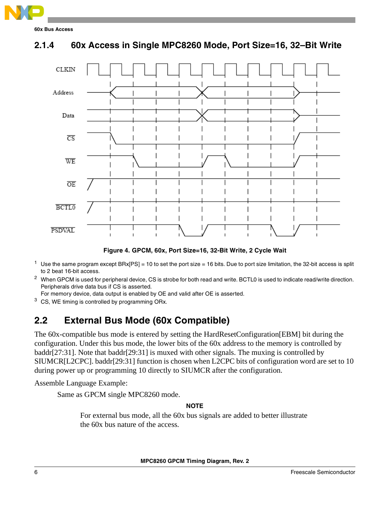





**Figure 4. GPCM, 60x, Port Size=16, 32-Bit Write, 2 Cycle Wait**

- <sup>1</sup> Use the same program except BRx[PS] = 10 to set the port size = 16 bits. Due to port size limitation, the 32-bit access is split to 2 beat 16-bit access.
- <sup>2</sup> When GPCM is used for peripheral device, CS is strobe for both read and write. BCTL0 is used to indicate read/write direction. Peripherals drive data bus if CS is asserted.
- For memory device, data output is enabled by OE and valid after OE is asserted.
- <sup>3</sup> CS, WE timing is controlled by programming ORx.

## **2.2 External Bus Mode (60x Compatible)**

The 60x-compatible bus mode is entered by setting the HardResetConfiguration[EBM] bit during the configuration. Under this bus mode, the lower bits of the 60x address to the memory is controlled by baddr[27:31]. Note that baddr[29:31] is muxed with other signals. The muxing is controlled by SIUMCR[L2CPC]. baddr[29:31] function is chosen when L2CPC bits of configuration word are set to 10 during power up or programming 10 directly to SIUMCR after the configuration.

Assemble Language Example:

Same as GPCM single MPC8260 mode.

### **NOTE**

For external bus mode, all the 60x bus signals are added to better illustrate the 60x bus nature of the access.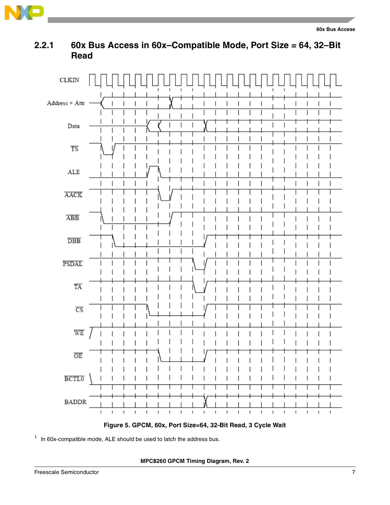



## **2.2.1 60x Bus Access in 60x–Compatible Mode, Port Size = 64, 32–Bit Read**

 $1$  In 60x-compatible mode, ALE should be used to latch the address bus.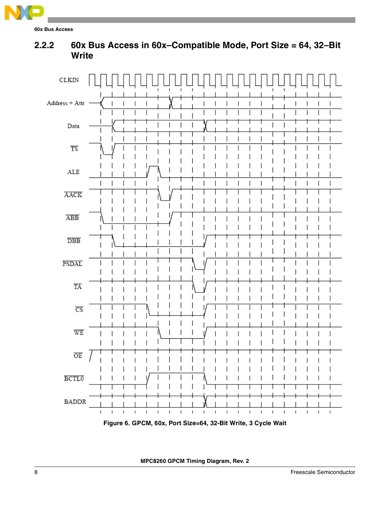



**2.2.2 60x Bus Access in 60x–Compatible Mode, Port Size = 64, 32–Bit Write**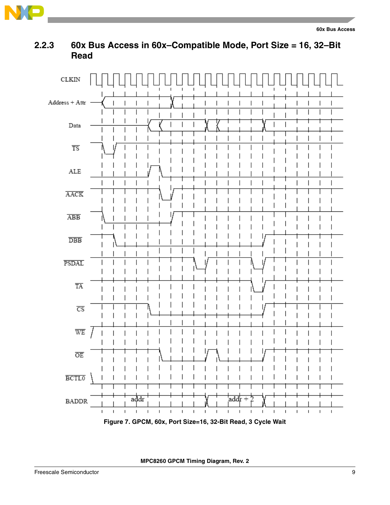



## **2.2.3 60x Bus Access in 60x–Compatible Mode, Port Size = 16, 32–Bit Read**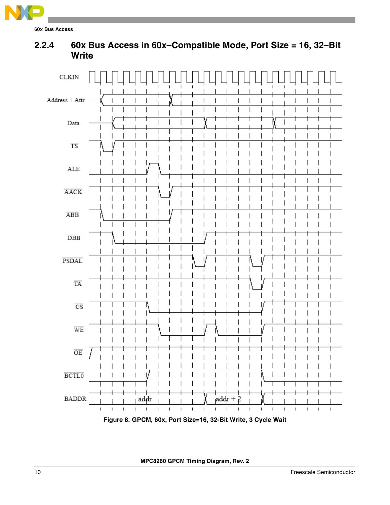



## **2.2.4 60x Bus Access in 60x–Compatible Mode, Port Size = 16, 32–Bit Write**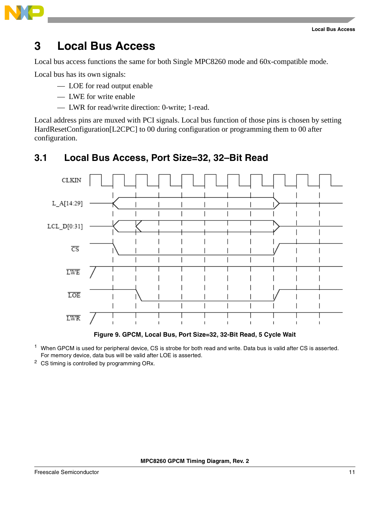



## <span id="page-10-0"></span>**3 Local Bus Access**

Local bus access functions the same for both Single MPC8260 mode and 60x-compatible mode.

Local bus has its own signals:

- LOE for read output enable
- LWE for write enable
- LWR for read/write direction: 0-write; 1-read.

Local address pins are muxed with PCI signals. Local bus function of those pins is chosen by setting HardResetConfiguration[L2CPC] to 00 during configuration or programming them to 00 after configuration.



### **3.1 Local Bus Access, Port Size=32, 32–Bit Read**

<sup>1</sup> When GPCM is used for peripheral device, CS is strobe for both read and write. Data bus is valid after CS is asserted. For memory device, data bus will be valid after LOE is asserted.

<sup>2</sup> CS timing is controlled by programming ORx.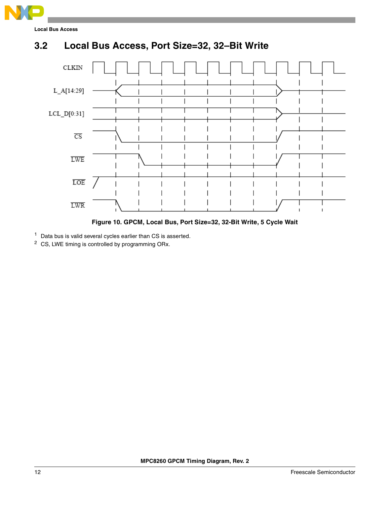

**Local Bus Access**

## **3.2 Local Bus Access, Port Size=32, 32–Bit Write**



**Figure 10. GPCM, Local Bus, Port Size=32, 32-Bit Write, 5 Cycle Wait**

<sup>1</sup> Data bus is valid several cycles earlier than CS is asserted.

<sup>2</sup> CS, LWE timing is controlled by programming ORx.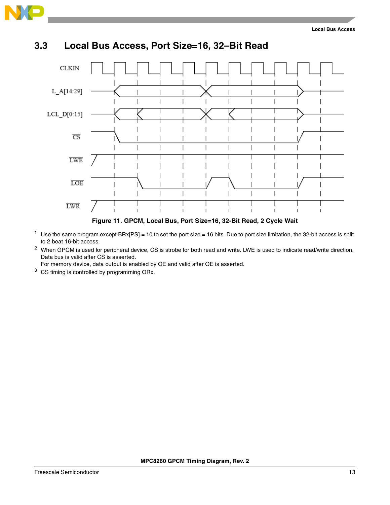

## **3.3 Local Bus Access, Port Size=16, 32–Bit Read**



**Figure 11. GPCM, Local Bus, Port Size=16, 32-Bit Read, 2 Cycle Wait**

- $1$  Use the same program except BRx[PS] = 10 to set the port size = 16 bits. Due to port size limitation, the 32-bit access is split to 2 beat 16-bit access.
- <sup>2</sup> When GPCM is used for peripheral device, CS is strobe for both read and write. LWE is used to indicate read/write direction. Data bus is valid after CS is asserted.

For memory device, data output is enabled by OE and valid after OE is asserted.

<sup>3</sup> CS timing is controlled by programming ORx.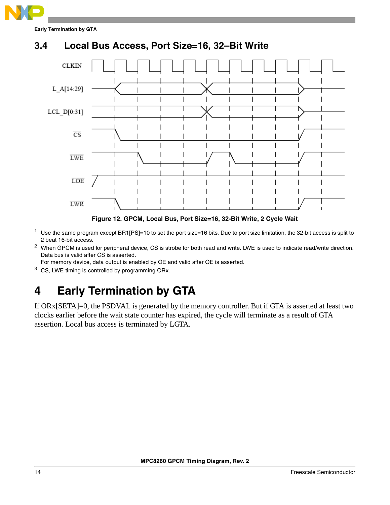

**Early Termination by GTA**

## **3.4 Local Bus Access, Port Size=16, 32–Bit Write**



**Figure 12. GPCM, Local Bus, Port Size=16, 32-Bit Write, 2 Cycle Wait**

- <sup>1</sup> Use the same program except BR1[PS]=10 to set the port size=16 bits. Due to port size limitation, the 32-bit access is split to 2 beat 16-bit access.
- <sup>2</sup> When GPCM is used for peripheral device, CS is strobe for both read and write. LWE is used to indicate read/write direction. Data bus is valid after CS is asserted.
- For memory device, data output is enabled by OE and valid after OE is asserted.
- <sup>3</sup> CS, LWE timing is controlled by programming ORx.

## <span id="page-13-0"></span>**4 Early Termination by GTA**

If ORx[SETA]=0, the PSDVAL is generated by the memory controller. But if GTA is asserted at least two clocks earlier before the wait state counter has expired, the cycle will terminate as a result of GTA assertion. Local bus access is terminated by LGTA.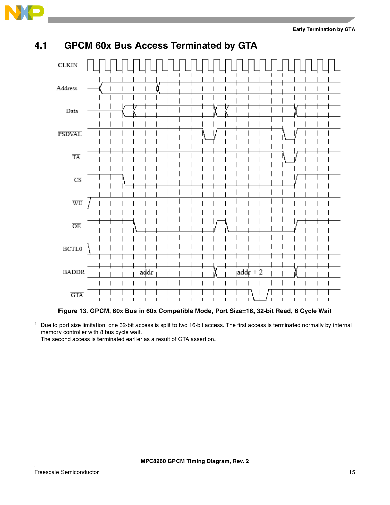



## **4.1 GPCM 60x Bus Access Terminated by GTA**

**Figure 13. GPCM, 60x Bus in 60x Compatible Mode, Port Size=16, 32-bit Read, 6 Cycle Wait**

<sup>1</sup> Due to port size limitation, one 32-bit access is split to two 16-bit access. The first access is terminated normally by internal memory controller with 8 bus cycle wait.

The second access is terminated earlier as a result of GTA assertion.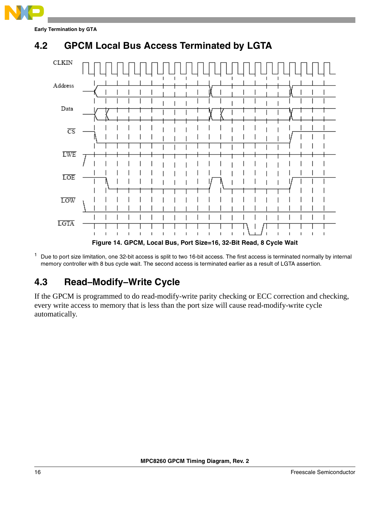**Early Termination by GTA**



## **4.2 GPCM Local Bus Access Terminated by LGTA**

<sup>1</sup> Due to port size limitation, one 32-bit access is split to two 16-bit access. The first access is terminated normally by internal memory controller with 8 bus cycle wait. The second access is terminated earlier as a result of LGTA assertion.

## **4.3 Read–Modify–Write Cycle**

If the GPCM is programmed to do read-modify-write parity checking or ECC correction and checking, every write access to memory that is less than the port size will cause read-modify-write cycle automatically.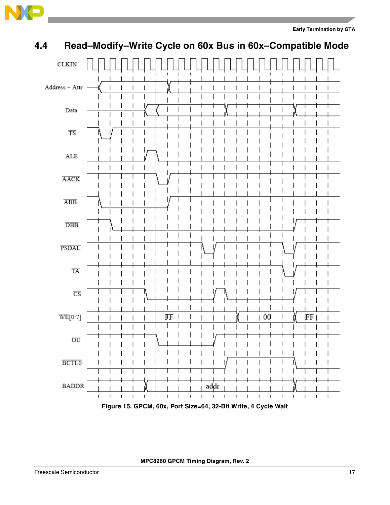

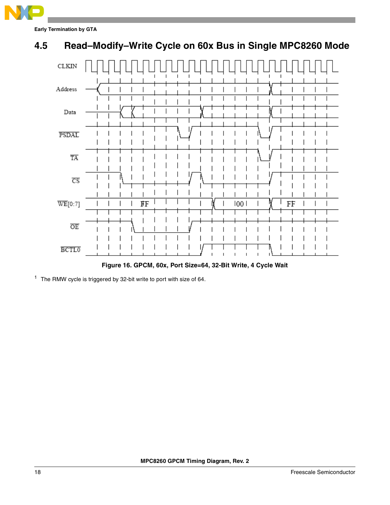**Early Termination by GTA**

## **4.5 Read–Modify–Write Cycle on 60x Bus in Single MPC8260 Mode**



**Figure 16. GPCM, 60x, Port Size=64, 32-Bit Write, 4 Cycle Wait**

 $1$  The RMW cycle is triggered by 32-bit write to port with size of 64.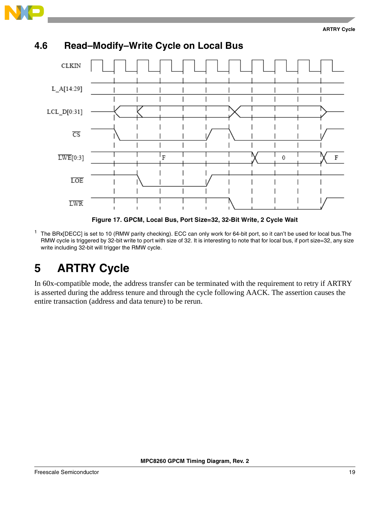



### **Figure 17. GPCM, Local Bus, Port Size=32, 32-Bit Write, 2 Cycle Wait**

<sup>1</sup> The BRx[DECC] is set to 10 (RMW parity checking). ECC can only work for 64-bit port, so it can't be used for local bus. The RMW cycle is triggered by 32-bit write to port with size of 32. It is interesting to note that for local bus, if port size=32, any size write including 32-bit will trigger the RMW cycle.

## <span id="page-18-0"></span>**5 ARTRY Cycle**

In 60x-compatible mode, the address transfer can be terminated with the requirement to retry if ARTRY is asserted during the address tenure and through the cycle following AACK. The assertion causes the entire transaction (address and data tenure) to be rerun.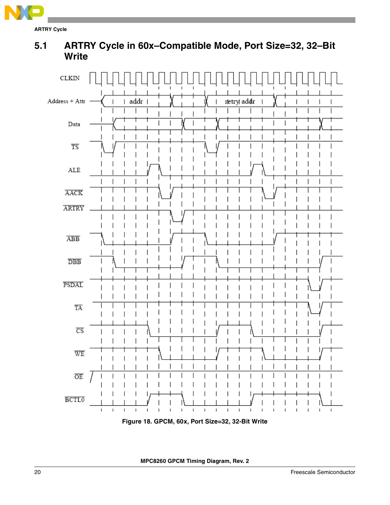

**ARTRY Cycle**

## **5.1 ARTRY Cycle in 60x–Compatible Mode, Port Size=32, 32–Bit Write**

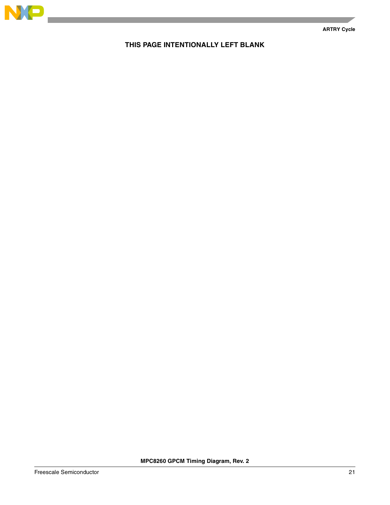

 $\overline{\phantom{a}}$ 

### **THIS PAGE INTENTIONALLY LEFT BLANK**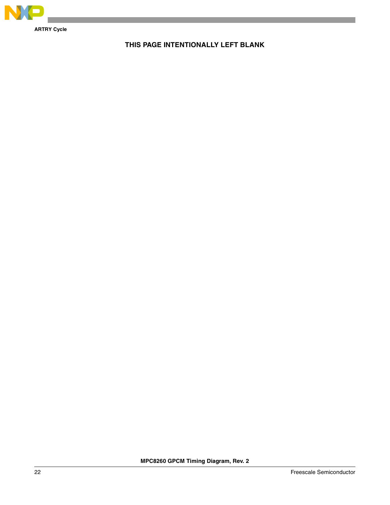

### **THIS PAGE INTENTIONALLY LEFT BLANK**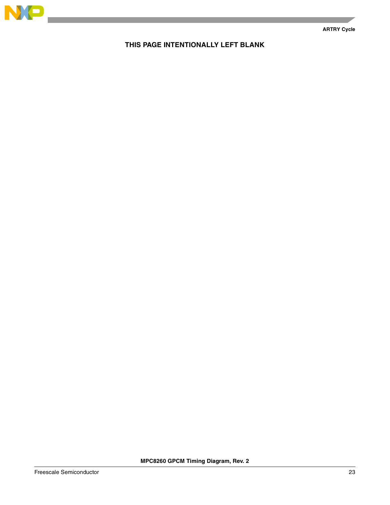

### **THIS PAGE INTENTIONALLY LEFT BLANK**